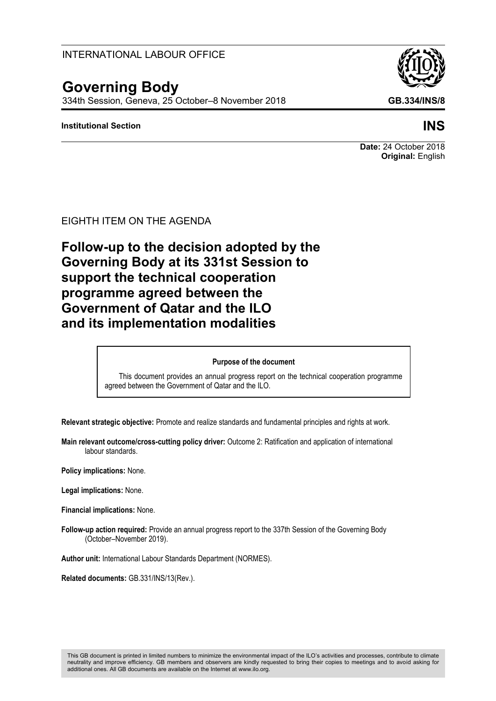## INTERNATIONAL LABOUR OFFICE

# **Governing Body**

334th Session, Geneva, 25 October–8 November 2018 **GB.334/INS/8**

## **Institutional Section INS**

**Date:** 24 October 2018 **Original:** English

EIGHTH ITEM ON THE AGENDA

**Follow-up to the decision adopted by the Governing Body at its 331st Session to support the technical cooperation programme agreed between the Government of Qatar and the ILO and its implementation modalities**

#### **Purpose of the document**

This document provides an annual progress report on the technical cooperation programme agreed between the Government of Qatar and the ILO.

**Relevant strategic objective:** Promote and realize standards and fundamental principles and rights at work.

**Main relevant outcome/cross-cutting policy driver:** Outcome 2: Ratification and application of international labour standards.

**Policy implications:** None.

**Legal implications:** None.

**Financial implications:** None.

**Follow-up action required:** Provide an annual progress report to the 337th Session of the Governing Body (October–November 2019).

**Author unit:** International Labour Standards Department (NORMES).

**Related documents:** GB.331/INS/13(Rev.).

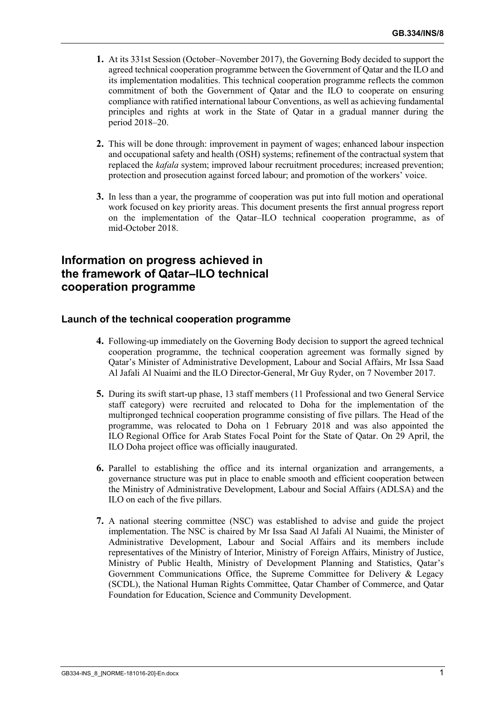- **1.** At its 331st Session (October–November 2017), the Governing Body decided to support the agreed technical cooperation programme between the Government of Qatar and the ILO and its implementation modalities. This technical cooperation programme reflects the common commitment of both the Government of Qatar and the ILO to cooperate on ensuring compliance with ratified international labour Conventions, as well as achieving fundamental principles and rights at work in the State of Qatar in a gradual manner during the period 2018–20.
- **2.** This will be done through: improvement in payment of wages; enhanced labour inspection and occupational safety and health (OSH) systems; refinement of the contractual system that replaced the *kafala* system; improved labour recruitment procedures; increased prevention; protection and prosecution against forced labour; and promotion of the workers' voice.
- **3.** In less than a year, the programme of cooperation was put into full motion and operational work focused on key priority areas. This document presents the first annual progress report on the implementation of the Qatar–ILO technical cooperation programme, as of mid-October 2018.

# **Information on progress achieved in the framework of Qatar–ILO technical cooperation programme**

#### **Launch of the technical cooperation programme**

- **4.** Following-up immediately on the Governing Body decision to support the agreed technical cooperation programme, the technical cooperation agreement was formally signed by Qatar's Minister of Administrative Development, Labour and Social Affairs, Mr Issa Saad Al Jafali Al Nuaimi and the ILO Director-General, Mr Guy Ryder, on 7 November 2017.
- **5.** During its swift start-up phase, 13 staff members (11 Professional and two General Service staff category) were recruited and relocated to Doha for the implementation of the multipronged technical cooperation programme consisting of five pillars. The Head of the programme, was relocated to Doha on 1 February 2018 and was also appointed the ILO Regional Office for Arab States Focal Point for the State of Qatar. On 29 April, the ILO Doha project office was officially inaugurated.
- **6.** Parallel to establishing the office and its internal organization and arrangements, a governance structure was put in place to enable smooth and efficient cooperation between the Ministry of Administrative Development, Labour and Social Affairs (ADLSA) and the ILO on each of the five pillars.
- **7.** A national steering committee (NSC) was established to advise and guide the project implementation. The NSC is chaired by Mr Issa Saad Al Jafali Al Nuaimi, the Minister of Administrative Development, Labour and Social Affairs and its members include representatives of the Ministry of Interior, Ministry of Foreign Affairs, Ministry of Justice, Ministry of Public Health, Ministry of Development Planning and Statistics, Qatar's Government Communications Office, the Supreme Committee for Delivery & Legacy (SCDL), the National Human Rights Committee, Qatar Chamber of Commerce, and Qatar Foundation for Education, Science and Community Development.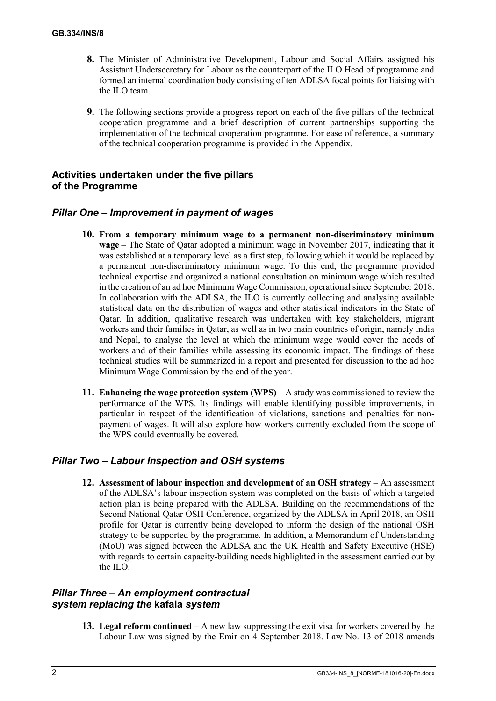- **8.** The Minister of Administrative Development, Labour and Social Affairs assigned his Assistant Undersecretary for Labour as the counterpart of the ILO Head of programme and formed an internal coordination body consisting of ten ADLSA focal points for liaising with the ILO team.
- **9.** The following sections provide a progress report on each of the five pillars of the technical cooperation programme and a brief description of current partnerships supporting the implementation of the technical cooperation programme. For ease of reference, a summary of the technical cooperation programme is provided in the Appendix.

## **Activities undertaken under the five pillars of the Programme**

## *Pillar One – Improvement in payment of wages*

- **10. From a temporary minimum wage to a permanent non-discriminatory minimum wage** – The State of Qatar adopted a minimum wage in November 2017, indicating that it was established at a temporary level as a first step, following which it would be replaced by a permanent non-discriminatory minimum wage. To this end, the programme provided technical expertise and organized a national consultation on minimum wage which resulted in the creation of an ad hoc Minimum Wage Commission, operational since September 2018. In collaboration with the ADLSA, the ILO is currently collecting and analysing available statistical data on the distribution of wages and other statistical indicators in the State of Qatar. In addition, qualitative research was undertaken with key stakeholders, migrant workers and their families in Qatar, as well as in two main countries of origin, namely India and Nepal, to analyse the level at which the minimum wage would cover the needs of workers and of their families while assessing its economic impact. The findings of these technical studies will be summarized in a report and presented for discussion to the ad hoc Minimum Wage Commission by the end of the year.
- **11. Enhancing the wage protection system (WPS)** A study was commissioned to review the performance of the WPS. Its findings will enable identifying possible improvements, in particular in respect of the identification of violations, sanctions and penalties for nonpayment of wages. It will also explore how workers currently excluded from the scope of the WPS could eventually be covered.

#### *Pillar Two – Labour Inspection and OSH systems*

**12. Assessment of labour inspection and development of an OSH strategy** – An assessment of the ADLSA's labour inspection system was completed on the basis of which a targeted action plan is being prepared with the ADLSA. Building on the recommendations of the Second National Qatar OSH Conference, organized by the ADLSA in April 2018, an OSH profile for Qatar is currently being developed to inform the design of the national OSH strategy to be supported by the programme. In addition, a Memorandum of Understanding (MoU) was signed between the ADLSA and the UK Health and Safety Executive (HSE) with regards to certain capacity-building needs highlighted in the assessment carried out by the ILO.

## *Pillar Three – An employment contractual system replacing the* **kafala** *system*

**13. Legal reform continued** – A new law suppressing the exit visa for workers covered by the Labour Law was signed by the Emir on 4 September 2018. Law No. 13 of 2018 amends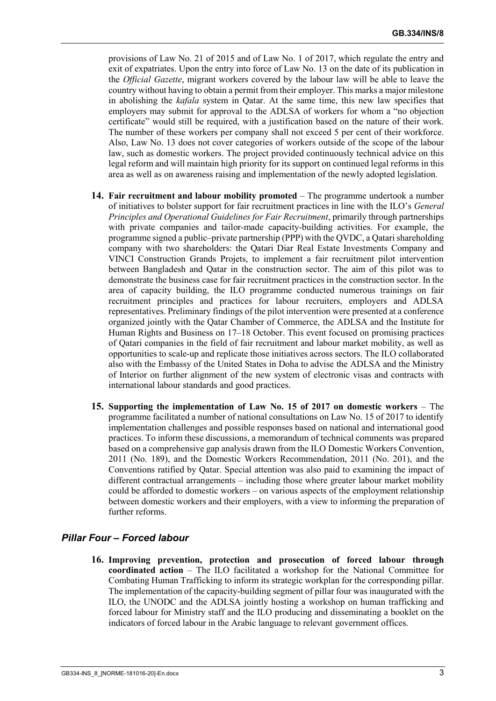provisions of Law No. 21 of 2015 and of Law No. 1 of 2017, which regulate the entry and exit of expatriates. Upon the entry into force of Law No. 13 on the date of its publication in the *Official Gazette*, migrant workers covered by the labour law will be able to leave the country without having to obtain a permit from their employer. This marks a major milestone in abolishing the *kafala* system in Qatar. At the same time, this new law specifies that employers may submit for approval to the ADLSA of workers for whom a "no objection certificate" would still be required, with a justification based on the nature of their work. The number of these workers per company shall not exceed 5 per cent of their workforce. Also, Law No. 13 does not cover categories of workers outside of the scope of the labour law, such as domestic workers. The project provided continuously technical advice on this legal reform and will maintain high priority for its support on continued legal reforms in this area as well as on awareness raising and implementation of the newly adopted legislation.

- **14. Fair recruitment and labour mobility promoted** The programme undertook a number of initiatives to bolster support for fair recruitment practices in line with the ILO's *General Principles and Operational Guidelines for Fair Recruitment*, primarily through partnerships with private companies and tailor-made capacity-building activities. For example, the programme signed a public–private partnership (PPP) with the QVDC, a Qatari shareholding company with two shareholders: the Qatari Diar Real Estate Investments Company and VINCI Construction Grands Projets, to implement a fair recruitment pilot intervention between Bangladesh and Qatar in the construction sector. The aim of this pilot was to demonstrate the business case for fair recruitment practices in the construction sector. In the area of capacity building, the ILO programme conducted numerous trainings on fair recruitment principles and practices for labour recruiters, employers and ADLSA representatives. Preliminary findings of the pilot intervention were presented at a conference organized jointly with the Qatar Chamber of Commerce, the ADLSA and the Institute for Human Rights and Business on 17–18 October. This event focused on promising practices of Qatari companies in the field of fair recruitment and labour market mobility, as well as opportunities to scale-up and replicate those initiatives across sectors. The ILO collaborated also with the Embassy of the United States in Doha to advise the ADLSA and the Ministry of Interior on further alignment of the new system of electronic visas and contracts with international labour standards and good practices.
- **15. Supporting the implementation of Law No. 15 of 2017 on domestic workers** The programme facilitated a number of national consultations on Law No. 15 of 2017 to identify implementation challenges and possible responses based on national and international good practices. To inform these discussions, a memorandum of technical comments was prepared based on a comprehensive gap analysis drawn from the ILO Domestic Workers Convention, 2011 (No. 189), and the Domestic Workers Recommendation, 2011 (No. 201), and the Conventions ratified by Qatar. Special attention was also paid to examining the impact of different contractual arrangements – including those where greater labour market mobility could be afforded to domestic workers – on various aspects of the employment relationship between domestic workers and their employers, with a view to informing the preparation of further reforms.

## *Pillar Four – Forced labour*

**16. Improving prevention, protection and prosecution of forced labour through coordinated action** – The ILO facilitated a workshop for the National Committee for Combating Human Trafficking to inform its strategic workplan for the corresponding pillar. The implementation of the capacity-building segment of pillar four was inaugurated with the ILO, the UNODC and the ADLSA jointly hosting a workshop on human trafficking and forced labour for Ministry staff and the ILO producing and disseminating a booklet on the indicators of forced labour in the Arabic language to relevant government offices.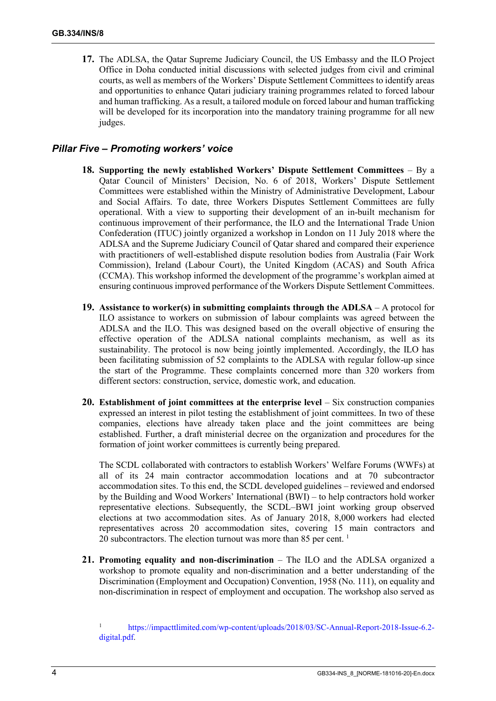**17.** The ADLSA, the Qatar Supreme Judiciary Council, the US Embassy and the ILO Project Office in Doha conducted initial discussions with selected judges from civil and criminal courts, as well as members of the Workers' Dispute Settlement Committees to identify areas and opportunities to enhance Qatari judiciary training programmes related to forced labour and human trafficking. As a result, a tailored module on forced labour and human trafficking will be developed for its incorporation into the mandatory training programme for all new judges.

### *Pillar Five – Promoting workers' voice*

- **18. Supporting the newly established Workers' Dispute Settlement Committees** By a Qatar Council of Ministers' Decision, No. 6 of 2018, Workers' Dispute Settlement Committees were established within the Ministry of Administrative Development, Labour and Social Affairs. To date, three Workers Disputes Settlement Committees are fully operational. With a view to supporting their development of an in-built mechanism for continuous improvement of their performance, the ILO and the International Trade Union Confederation (ITUC) jointly organized a workshop in London on 11 July 2018 where the ADLSA and the Supreme Judiciary Council of Qatar shared and compared their experience with practitioners of well-established dispute resolution bodies from Australia (Fair Work Commission), Ireland (Labour Court), the United Kingdom (ACAS) and South Africa (CCMA). This workshop informed the development of the programme's workplan aimed at ensuring continuous improved performance of the Workers Dispute Settlement Committees.
- **19. Assistance to worker(s) in submitting complaints through the ADLSA** A protocol for ILO assistance to workers on submission of labour complaints was agreed between the ADLSA and the ILO. This was designed based on the overall objective of ensuring the effective operation of the ADLSA national complaints mechanism, as well as its sustainability. The protocol is now being jointly implemented. Accordingly, the ILO has been facilitating submission of 52 complaints to the ADLSA with regular follow-up since the start of the Programme. These complaints concerned more than 320 workers from different sectors: construction, service, domestic work, and education.
- **20. Establishment of joint committees at the enterprise level** Six construction companies expressed an interest in pilot testing the establishment of joint committees. In two of these companies, elections have already taken place and the joint committees are being established. Further, a draft ministerial decree on the organization and procedures for the formation of joint worker committees is currently being prepared.

The SCDL collaborated with contractors to establish Workers' Welfare Forums (WWFs) at all of its 24 main contractor accommodation locations and at 70 subcontractor accommodation sites. To this end, the SCDL developed guidelines – reviewed and endorsed by the Building and Wood Workers' International (BWI) – to help contractors hold worker representative elections. Subsequently, the SCDL–BWI joint working group observed elections at two accommodation sites. As of January 2018, 8,000 workers had elected representatives across 20 accommodation sites, covering 15 main contractors and 20 subcontractors. The election turnout was more than 85 per cent.  $<sup>1</sup>$ </sup>

**21. Promoting equality and non-discrimination** – The ILO and the ADLSA organized a workshop to promote equality and non-discrimination and a better understanding of the Discrimination (Employment and Occupation) Convention, 1958 (No. 111), on equality and non-discrimination in respect of employment and occupation. The workshop also served as

<sup>&</sup>lt;sup>1</sup> [https://impacttlimited.com/wp-content/uploads/2018/03/SC-Annual-Report-2018-Issue-6.2](https://impacttlimited.com/wp-content/uploads/2018/03/SC-Annual-Report-2018-Issue-6.2-digital.pdf) [digital.pdf.](https://impacttlimited.com/wp-content/uploads/2018/03/SC-Annual-Report-2018-Issue-6.2-digital.pdf)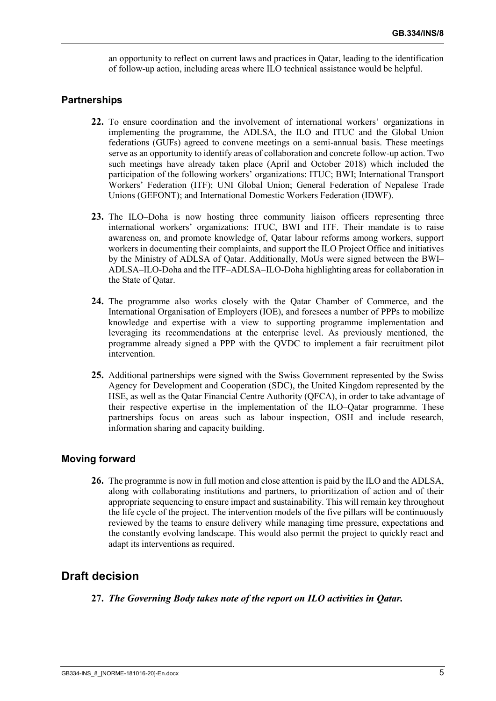an opportunity to reflect on current laws and practices in Qatar, leading to the identification of follow-up action, including areas where ILO technical assistance would be helpful.

#### **Partnerships**

- **22.** To ensure coordination and the involvement of international workers' organizations in implementing the programme, the ADLSA, the ILO and ITUC and the Global Union federations (GUFs) agreed to convene meetings on a semi-annual basis. These meetings serve as an opportunity to identify areas of collaboration and concrete follow-up action. Two such meetings have already taken place (April and October 2018) which included the participation of the following workers' organizations: ITUC; BWI; International Transport Workers' Federation (ITF); UNI Global Union; General Federation of Nepalese Trade Unions (GEFONT); and International Domestic Workers Federation (IDWF).
- **23.** The ILO–Doha is now hosting three community liaison officers representing three international workers' organizations: ITUC, BWI and ITF. Their mandate is to raise awareness on, and promote knowledge of, Qatar labour reforms among workers, support workers in documenting their complaints, and support the ILO Project Office and initiatives by the Ministry of ADLSA of Qatar. Additionally, MoUs were signed between the BWI– ADLSA–ILO-Doha and the ITF–ADLSA–ILO-Doha highlighting areas for collaboration in the State of Qatar.
- **24.** The programme also works closely with the Qatar Chamber of Commerce, and the International Organisation of Employers (IOE), and foresees a number of PPPs to mobilize knowledge and expertise with a view to supporting programme implementation and leveraging its recommendations at the enterprise level. As previously mentioned, the programme already signed a PPP with the QVDC to implement a fair recruitment pilot intervention.
- **25.** Additional partnerships were signed with the Swiss Government represented by the Swiss Agency for Development and Cooperation (SDC), the United Kingdom represented by the HSE, as well as the Qatar Financial Centre Authority (QFCA), in order to take advantage of their respective expertise in the implementation of the ILO–Qatar programme. These partnerships focus on areas such as labour inspection, OSH and include research, information sharing and capacity building.

#### **Moving forward**

**26.** The programme is now in full motion and close attention is paid by the ILO and the ADLSA, along with collaborating institutions and partners, to prioritization of action and of their appropriate sequencing to ensure impact and sustainability. This will remain key throughout the life cycle of the project. The intervention models of the five pillars will be continuously reviewed by the teams to ensure delivery while managing time pressure, expectations and the constantly evolving landscape. This would also permit the project to quickly react and adapt its interventions as required.

## **Draft decision**

**27.** *The Governing Body takes note of the report on ILO activities in Qatar.*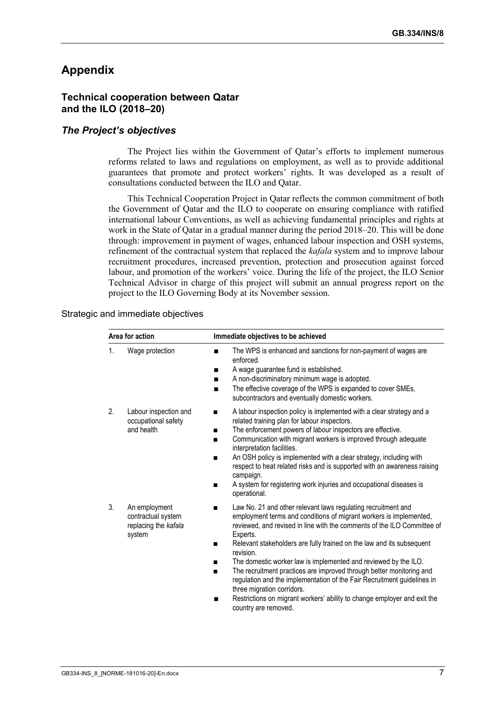## **Appendix**

#### **Technical cooperation between Qatar and the ILO (2018–20)**

#### *The Project's objectives*

The Project lies within the Government of Qatar's efforts to implement numerous reforms related to laws and regulations on employment, as well as to provide additional guarantees that promote and protect workers' rights. It was developed as a result of consultations conducted between the ILO and Qatar.

This Technical Cooperation Project in Qatar reflects the common commitment of both the Government of Qatar and the ILO to cooperate on ensuring compliance with ratified international labour Conventions, as well as achieving fundamental principles and rights at work in the State of Qatar in a gradual manner during the period 2018–20. This will be done through: improvement in payment of wages, enhanced labour inspection and OSH systems, refinement of the contractual system that replaced the *kafala* system and to improve labour recruitment procedures, increased prevention, protection and prosecution against forced labour, and promotion of the workers' voice. During the life of the project, the ILO Senior Technical Advisor in charge of this project will submit an annual progress report on the project to the ILO Governing Body at its November session.

#### Strategic and immediate objectives

| Area for action |                                                                       | Immediate objectives to be achieved                                                                                                                                                                                                                                                                                                                                                                                                                                                                                                                                                                                                                                                     |  |
|-----------------|-----------------------------------------------------------------------|-----------------------------------------------------------------------------------------------------------------------------------------------------------------------------------------------------------------------------------------------------------------------------------------------------------------------------------------------------------------------------------------------------------------------------------------------------------------------------------------------------------------------------------------------------------------------------------------------------------------------------------------------------------------------------------------|--|
| 1.              | Wage protection                                                       | The WPS is enhanced and sanctions for non-payment of wages are<br>п<br>enforced.<br>A wage guarantee fund is established.<br>■<br>A non-discriminatory minimum wage is adopted.<br>■<br>The effective coverage of the WPS is expanded to cover SMEs,<br>subcontractors and eventually domestic workers.                                                                                                                                                                                                                                                                                                                                                                                 |  |
| 2.              | Labour inspection and<br>occupational safety<br>and health            | A labour inspection policy is implemented with a clear strategy and a<br>■<br>related training plan for labour inspectors.<br>The enforcement powers of labour inspectors are effective.<br>Communication with migrant workers is improved through adequate<br>■<br>interpretation facilities.<br>An OSH policy is implemented with a clear strategy, including with<br>■<br>respect to heat related risks and is supported with an awareness raising<br>campaign.<br>A system for registering work injuries and occupational diseases is<br>■<br>operational.                                                                                                                          |  |
| 3.              | An employment<br>contractual system<br>replacing the kafala<br>system | Law No. 21 and other relevant laws regulating recruitment and<br>■<br>employment terms and conditions of migrant workers is implemented,<br>reviewed, and revised in line with the comments of the ILO Committee of<br>Experts.<br>Relevant stakeholders are fully trained on the law and its subsequent<br>revision.<br>The domestic worker law is implemented and reviewed by the ILO.<br>■<br>The recruitment practices are improved through better monitoring and<br>regulation and the implementation of the Fair Recruitment guidelines in<br>three migration corridors.<br>Restrictions on migrant workers' ability to change employer and exit the<br>■<br>country are removed. |  |